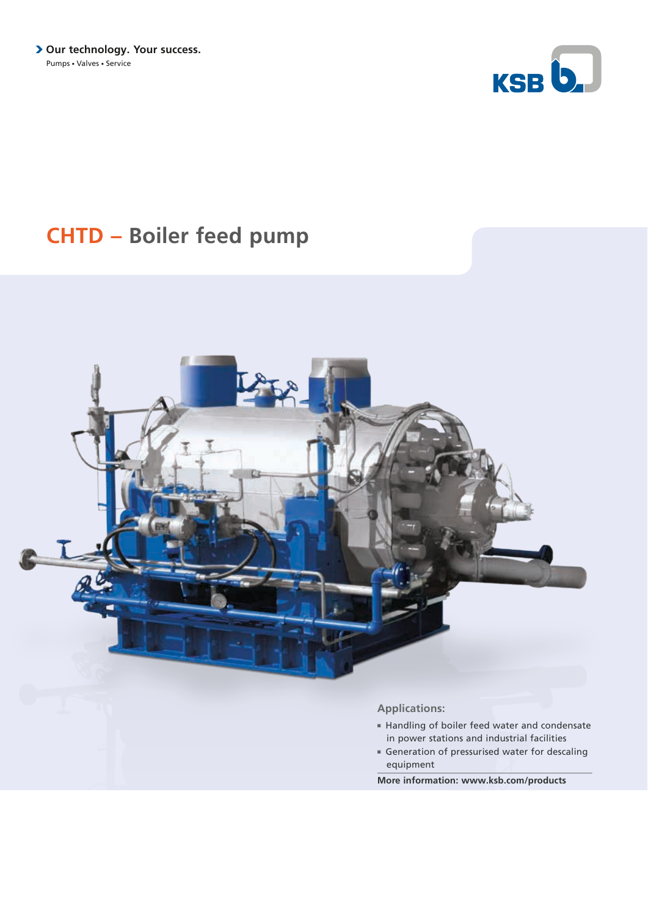

# **CHTD – Boiler feed pump**



- Handling of boiler feed water and condensate in power stations and industrial facilities
- Generation of pressurised water for descaling equipment

**More information: www.ksb.com/products**